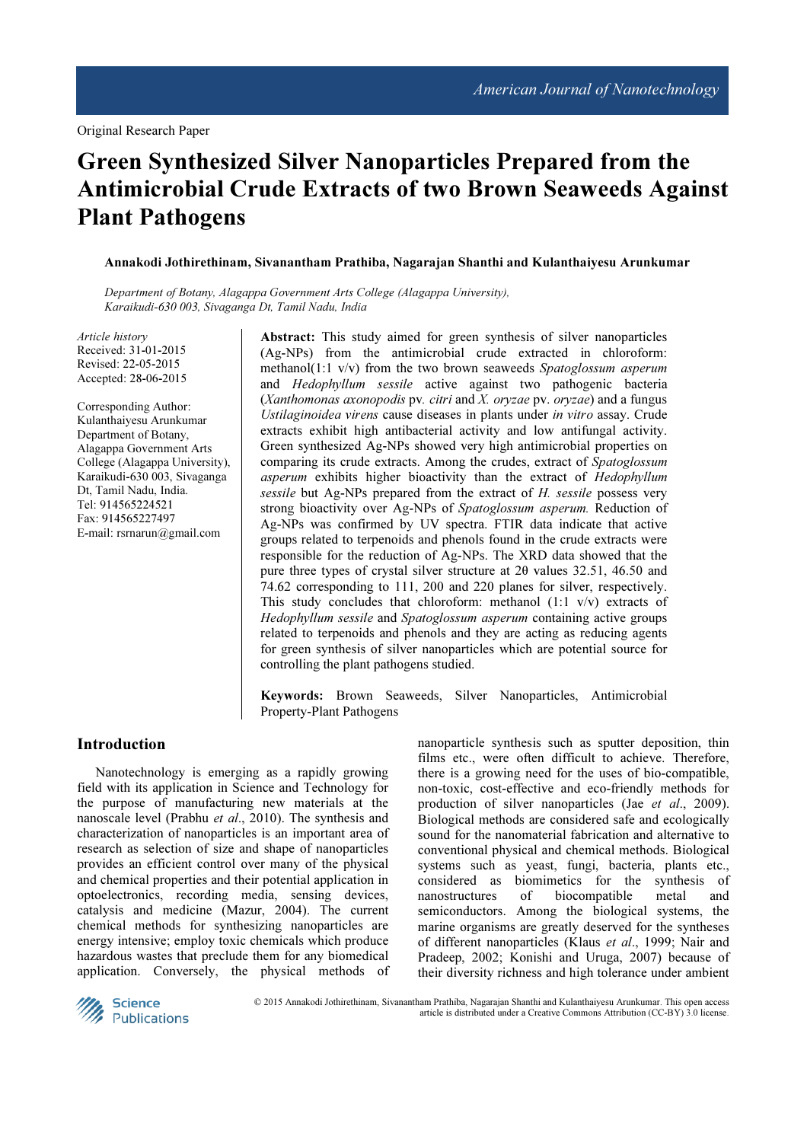# Green Synthesized Silver Nanoparticles Prepared from the Antimicrobial Crude Extracts of two Brown Seaweeds Against Plant Pathogens

Annakodi Jothirethinam, Sivanantham Prathiba, Nagarajan Shanthi and Kulanthaiyesu Arunkumar

Department of Botany, Alagappa Government Arts College (Alagappa University), Karaikudi-630 003, Sivaganga Dt, Tamil Nadu, India

Article history Received: 31-01-2015 Revised: 22-05-2015 Accepted: 28-06-2015

Corresponding Author: Kulanthaiyesu Arunkumar Department of Botany, Alagappa Government Arts College (Alagappa University), Karaikudi-630 003, Sivaganga Dt, Tamil Nadu, India. Tel: 914565224521 Fax: 914565227497 E-mail: rsrnarun@gmail.com

Abstract: This study aimed for green synthesis of silver nanoparticles (Ag-NPs) from the antimicrobial crude extracted in chloroform: methanol(1:1  $v/v$ ) from the two brown seaweeds Spatoglossum asperum and Hedophyllum sessile active against two pathogenic bacteria (Xanthomonas axonopodis pv. citri and X. oryzae pv. oryzae) and a fungus Ustilaginoidea virens cause diseases in plants under in vitro assay. Crude extracts exhibit high antibacterial activity and low antifungal activity. Green synthesized Ag-NPs showed very high antimicrobial properties on comparing its crude extracts. Among the crudes, extract of Spatoglossum asperum exhibits higher bioactivity than the extract of Hedophyllum sessile but Ag-NPs prepared from the extract of H. sessile possess very strong bioactivity over Ag-NPs of Spatoglossum asperum. Reduction of Ag-NPs was confirmed by UV spectra. FTIR data indicate that active groups related to terpenoids and phenols found in the crude extracts were responsible for the reduction of Ag-NPs. The XRD data showed that the pure three types of crystal silver structure at 2θ values 32.51, 46.50 and 74.62 corresponding to 111, 200 and 220 planes for silver, respectively. This study concludes that chloroform: methanol  $(1:1 \text{ v/v})$  extracts of Hedophyllum sessile and Spatoglossum asperum containing active groups related to terpenoids and phenols and they are acting as reducing agents for green synthesis of silver nanoparticles which are potential source for controlling the plant pathogens studied.

Keywords: Brown Seaweeds, Silver Nanoparticles, Antimicrobial Property-Plant Pathogens

#### Introduction

Nanotechnology is emerging as a rapidly growing field with its application in Science and Technology for the purpose of manufacturing new materials at the nanoscale level (Prabhu *et al.*, 2010). The synthesis and characterization of nanoparticles is an important area of research as selection of size and shape of nanoparticles provides an efficient control over many of the physical and chemical properties and their potential application in optoelectronics, recording media, sensing devices, catalysis and medicine (Mazur, 2004). The current chemical methods for synthesizing nanoparticles are energy intensive; employ toxic chemicals which produce hazardous wastes that preclude them for any biomedical application. Conversely, the physical methods of nanoparticle synthesis such as sputter deposition, thin films etc., were often difficult to achieve. Therefore, there is a growing need for the uses of bio-compatible, non-toxic, cost-effective and eco-friendly methods for production of silver nanoparticles (Jae et al., 2009). Biological methods are considered safe and ecologically sound for the nanomaterial fabrication and alternative to conventional physical and chemical methods. Biological systems such as yeast, fungi, bacteria, plants etc., considered as biomimetics for the synthesis of nanostructures of biocompatible metal and semiconductors. Among the biological systems, the marine organisms are greatly deserved for the syntheses of different nanoparticles (Klaus et al., 1999; Nair and Pradeep, 2002; Konishi and Uruga, 2007) because of their diversity richness and high tolerance under ambient



© 2015 Annakodi Jothirethinam, Sivanantham Prathiba, Nagarajan Shanthi and Kulanthaiyesu Arunkumar. This open access article is distributed under a Creative Commons Attribution (CC-BY) 3.0 license.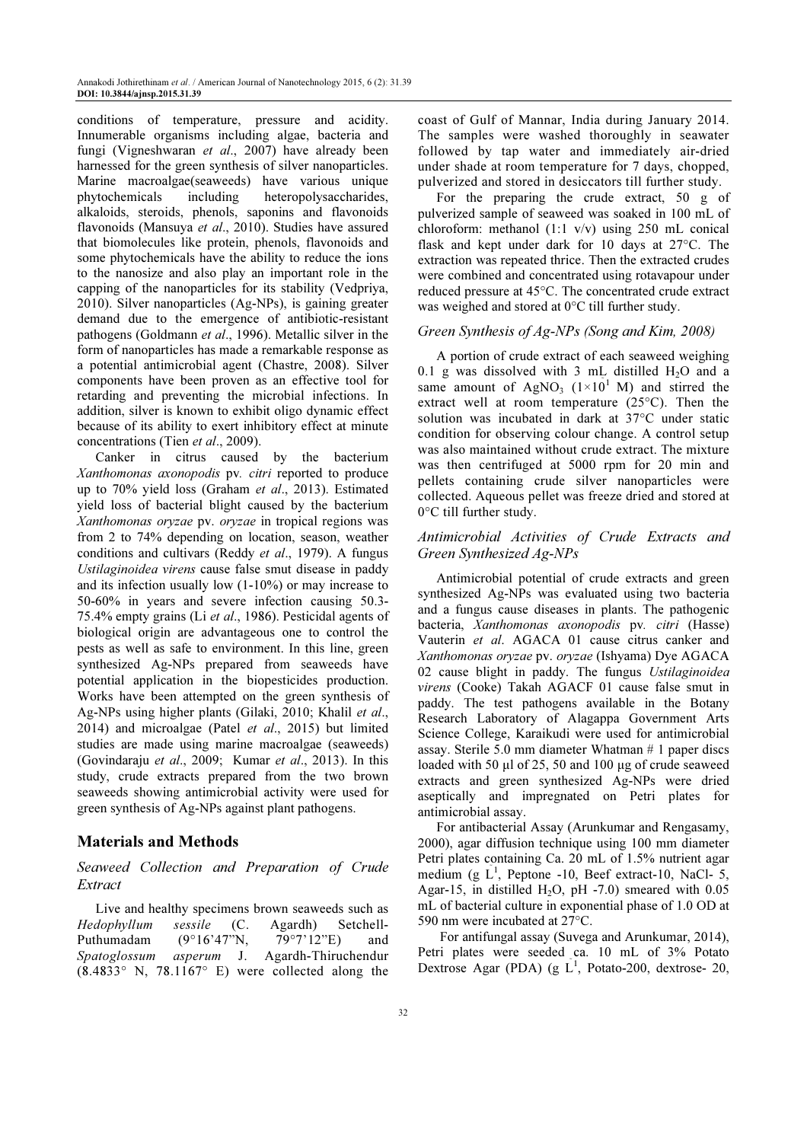conditions of temperature, pressure and acidity. Innumerable organisms including algae, bacteria and fungi (Vigneshwaran et al., 2007) have already been harnessed for the green synthesis of silver nanoparticles. Marine macroalgae(seaweeds) have various unique phytochemicals including heteropolysaccharides, alkaloids, steroids, phenols, saponins and flavonoids flavonoids (Mansuya et al., 2010). Studies have assured that biomolecules like protein, phenols, flavonoids and some phytochemicals have the ability to reduce the ions to the nanosize and also play an important role in the capping of the nanoparticles for its stability (Vedpriya, 2010). Silver nanoparticles (Ag-NPs), is gaining greater demand due to the emergence of antibiotic-resistant pathogens (Goldmann et al., 1996). Metallic silver in the form of nanoparticles has made a remarkable response as a potential antimicrobial agent (Chastre, 2008). Silver components have been proven as an effective tool for retarding and preventing the microbial infections. In addition, silver is known to exhibit oligo dynamic effect because of its ability to exert inhibitory effect at minute concentrations (Tien et al., 2009).

Canker in citrus caused by the bacterium Xanthomonas axonopodis pv. citri reported to produce up to 70% yield loss (Graham et al., 2013). Estimated yield loss of bacterial blight caused by the bacterium Xanthomonas oryzae pv. oryzae in tropical regions was from 2 to 74% depending on location, season, weather conditions and cultivars (Reddy et al., 1979). A fungus Ustilaginoidea virens cause false smut disease in paddy and its infection usually low (1-10%) or may increase to 50-60% in years and severe infection causing 50.3- 75.4% empty grains (Li et al., 1986). Pesticidal agents of biological origin are advantageous one to control the pests as well as safe to environment. In this line, green synthesized Ag-NPs prepared from seaweeds have potential application in the biopesticides production. Works have been attempted on the green synthesis of Ag-NPs using higher plants (Gilaki, 2010; Khalil et al., 2014) and microalgae (Patel et al., 2015) but limited studies are made using marine macroalgae (seaweeds) (Govindaraju et al., 2009; Kumar et al., 2013). In this study, crude extracts prepared from the two brown seaweeds showing antimicrobial activity were used for green synthesis of Ag-NPs against plant pathogens.

## Materials and Methods

## Seaweed Collection and Preparation of Crude Extract

Live and healthy specimens brown seaweeds such as Hedophyllum sessile (C. Agardh) Setchell-Puthumadam (9°16'47"N, 79°7'12"E) and Spatoglossum asperum J. Agardh-Thiruchendur  $(8.4833°$  N,  $78.1167°$  E) were collected along the coast of Gulf of Mannar, India during January 2014. The samples were washed thoroughly in seawater followed by tap water and immediately air-dried under shade at room temperature for 7 days, chopped, pulverized and stored in desiccators till further study.

For the preparing the crude extract, 50 g of pulverized sample of seaweed was soaked in 100 mL of chloroform: methanol (1:1 v/v) using 250 mL conical flask and kept under dark for 10 days at 27°C. The extraction was repeated thrice. Then the extracted crudes were combined and concentrated using rotavapour under reduced pressure at 45°C. The concentrated crude extract was weighed and stored at 0°C till further study.

## Green Synthesis of Ag-NPs (Song and Kim, 2008)

A portion of crude extract of each seaweed weighing 0.1 g was dissolved with 3 mL distilled  $H_2O$  and a same amount of AgNO<sub>3</sub>  $(1\times10^{1}$  M) and stirred the extract well at room temperature  $(25^{\circ}C)$ . Then the solution was incubated in dark at 37°C under static condition for observing colour change. A control setup was also maintained without crude extract. The mixture was then centrifuged at 5000 rpm for 20 min and pellets containing crude silver nanoparticles were collected. Aqueous pellet was freeze dried and stored at 0°C till further study.

## Antimicrobial Activities of Crude Extracts and Green Synthesized Ag-NPs

Antimicrobial potential of crude extracts and green synthesized Ag-NPs was evaluated using two bacteria and a fungus cause diseases in plants. The pathogenic bacteria, Xanthomonas axonopodis pv. citri (Hasse) Vauterin et al. AGACA 01 cause citrus canker and Xanthomonas oryzae pv. oryzae (Ishyama) Dye AGACA 02 cause blight in paddy. The fungus Ustilaginoidea virens (Cooke) Takah AGACF 01 cause false smut in paddy. The test pathogens available in the Botany Research Laboratory of Alagappa Government Arts Science College, Karaikudi were used for antimicrobial assay. Sterile 5.0 mm diameter Whatman # 1 paper discs loaded with 50 µl of 25, 50 and 100 µg of crude seaweed extracts and green synthesized Ag-NPs were dried aseptically and impregnated on Petri plates for antimicrobial assay.

For antibacterial Assay (Arunkumar and Rengasamy, 2000), agar diffusion technique using 100 mm diameter Petri plates containing Ca. 20 mL of 1.5% nutrient agar medium (g  $\tilde{L}^1$ , Peptone -10, Beef extract-10, NaCl- 5, Agar-15, in distilled H<sub>2</sub>O, pH -7.0) smeared with  $0.05$ mL of bacterial culture in exponential phase of 1.0 OD at 590 nm were incubated at 27°C.

 For antifungal assay (Suvega and Arunkumar, 2014), Petri plates were seeded ca. 10 mL of 3% Potato Dextrose Agar (PDA) (g  $L^1$ , Potato-200, dextrose- 20,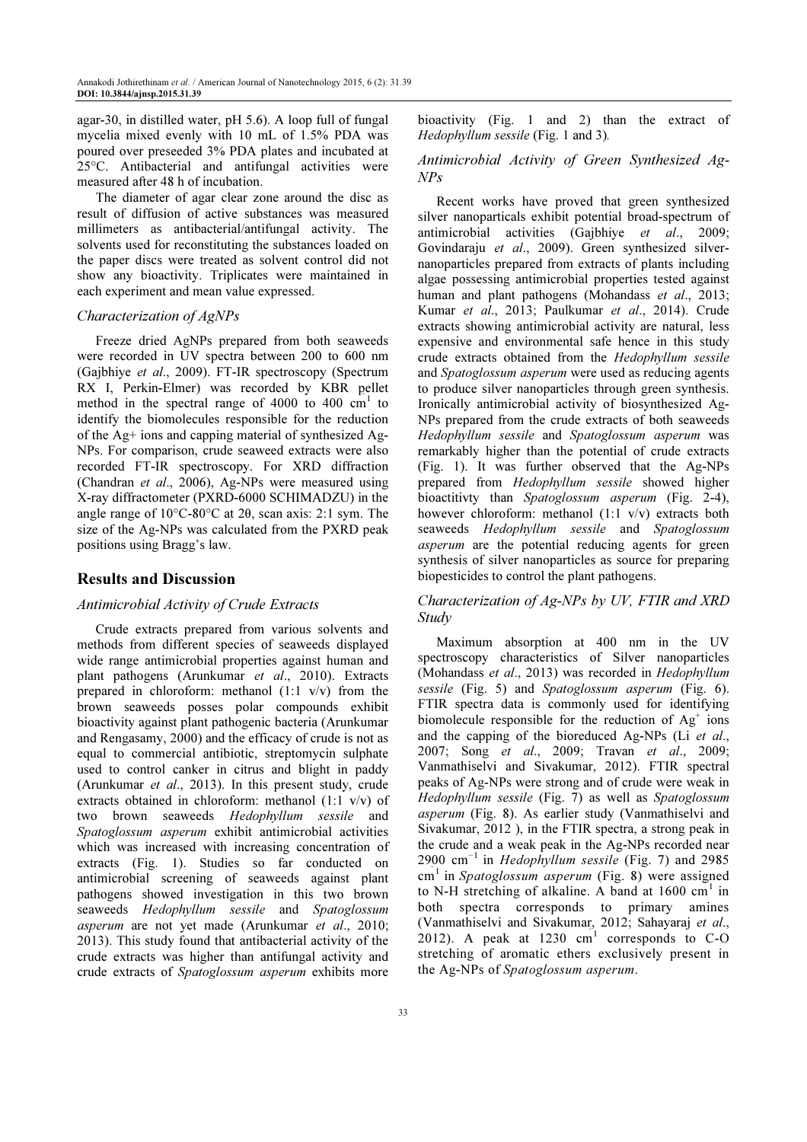agar-30, in distilled water, pH 5.6). A loop full of fungal mycelia mixed evenly with 10 mL of 1.5% PDA was poured over preseeded 3% PDA plates and incubated at 25°C. Antibacterial and antifungal activities were measured after 48 h of incubation.

The diameter of agar clear zone around the disc as result of diffusion of active substances was measured millimeters as antibacterial/antifungal activity. The solvents used for reconstituting the substances loaded on the paper discs were treated as solvent control did not show any bioactivity. Triplicates were maintained in each experiment and mean value expressed.

#### Characterization of AgNPs

Freeze dried AgNPs prepared from both seaweeds were recorded in UV spectra between 200 to 600 nm (Gajbhiye et al., 2009). FT-IR spectroscopy (Spectrum RX I, Perkin-Elmer) was recorded by KBR pellet method in the spectral range of 4000 to 400  $\text{cm}^1$  to identify the biomolecules responsible for the reduction of the Ag+ ions and capping material of synthesized Ag-NPs. For comparison, crude seaweed extracts were also recorded FT-IR spectroscopy. For XRD diffraction (Chandran et al., 2006), Ag-NPs were measured using X-ray diffractometer (PXRD-6000 SCHIMADZU) in the angle range of 10°C-80°C at 2θ, scan axis: 2:1 sym. The size of the Ag-NPs was calculated from the PXRD peak positions using Bragg's law.

#### Results and Discussion

#### Antimicrobial Activity of Crude Extracts

Crude extracts prepared from various solvents and methods from different species of seaweeds displayed wide range antimicrobial properties against human and plant pathogens (Arunkumar et al., 2010). Extracts prepared in chloroform: methanol (1:1 v/v) from the brown seaweeds posses polar compounds exhibit bioactivity against plant pathogenic bacteria (Arunkumar and Rengasamy, 2000) and the efficacy of crude is not as equal to commercial antibiotic, streptomycin sulphate used to control canker in citrus and blight in paddy (Arunkumar et al., 2013). In this present study, crude extracts obtained in chloroform: methanol (1:1 v/v) of two brown seaweeds Hedophyllum sessile and Spatoglossum asperum exhibit antimicrobial activities which was increased with increasing concentration of extracts (Fig. 1). Studies so far conducted on antimicrobial screening of seaweeds against plant pathogens showed investigation in this two brown seaweeds Hedophyllum sessile and Spatoglossum asperum are not yet made (Arunkumar et al., 2010; 2013). This study found that antibacterial activity of the crude extracts was higher than antifungal activity and crude extracts of Spatoglossum asperum exhibits more

bioactivity (Fig. 1 and 2) than the extract of Hedophyllum sessile (Fig. 1 and 3).

## Antimicrobial Activity of Green Synthesized Ag-NPs

Recent works have proved that green synthesized silver nanoparticals exhibit potential broad-spectrum of antimicrobial activities (Gajbhiye et al., 2009; Govindaraju et al., 2009). Green synthesized silvernanoparticles prepared from extracts of plants including algae possessing antimicrobial properties tested against human and plant pathogens (Mohandass et al., 2013; Kumar et al., 2013; Paulkumar et al., 2014). Crude extracts showing antimicrobial activity are natural, less expensive and environmental safe hence in this study crude extracts obtained from the Hedophyllum sessile and Spatoglossum asperum were used as reducing agents to produce silver nanoparticles through green synthesis. Ironically antimicrobial activity of biosynthesized Ag-NPs prepared from the crude extracts of both seaweeds Hedophyllum sessile and Spatoglossum asperum was remarkably higher than the potential of crude extracts (Fig. 1). It was further observed that the Ag-NPs prepared from Hedophyllum sessile showed higher bioactitivty than *Spatoglossum asperum* (Fig. 2-4), however chloroform: methanol (1:1 v/v) extracts both seaweeds Hedophyllum sessile and Spatoglossum asperum are the potential reducing agents for green synthesis of silver nanoparticles as source for preparing biopesticides to control the plant pathogens.

## Characterization of Ag-NPs by UV, FTIR and XRD Study

Maximum absorption at 400 nm in the UV spectroscopy characteristics of Silver nanoparticles (Mohandass et al., 2013) was recorded in Hedophyllum sessile (Fig. 5) and Spatoglossum asperum (Fig. 6). FTIR spectra data is commonly used for identifying biomolecule responsible for the reduction of  $Ag<sup>+</sup>$  ions and the capping of the bioreduced Ag-NPs (Li et al., 2007; Song et al., 2009; Travan et al., 2009; Vanmathiselvi and Sivakumar, 2012). FTIR spectral peaks of Ag-NPs were strong and of crude were weak in Hedophyllum sessile (Fig. 7) as well as Spatoglossum asperum (Fig. 8). As earlier study (Vanmathiselvi and Sivakumar, 2012 ), in the FTIR spectra, a strong peak in the crude and a weak peak in the Ag-NPs recorded near 2900 cm<sup>-1</sup> in *Hedophyllum sessile* (Fig. 7) and 2985  $cm<sup>1</sup>$  in Spatoglossum asperum (Fig. 8) were assigned to N-H stretching of alkaline. A band at  $1600 \text{ cm}^1$  in both spectra corresponds to primary amines (Vanmathiselvi and Sivakumar, 2012; Sahayaraj et al., 2012). A peak at  $1230 \text{ cm}^1$  corresponds to C-O stretching of aromatic ethers exclusively present in the Ag-NPs of Spatoglossum asperum.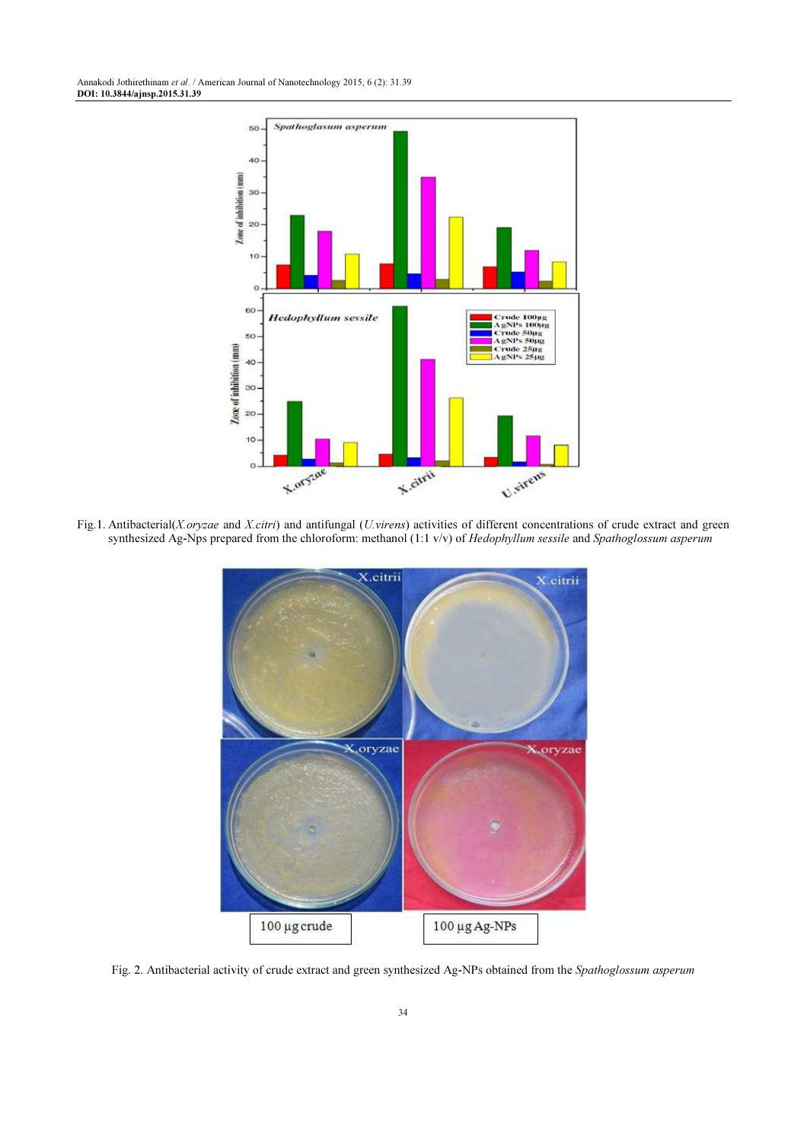

Fig.1. Antibacterial(X.oryzae and X.citri) and antifungal (U.virens) activities of different concentrations of crude extract and green synthesized Ag-Nps prepared from the chloroform: methanol (1:1 v/v) of Hedophyllum sessile and Spathoglossum asperum



Fig. 2. Antibacterial activity of crude extract and green synthesized Ag-NPs obtained from the Spathoglossum asperum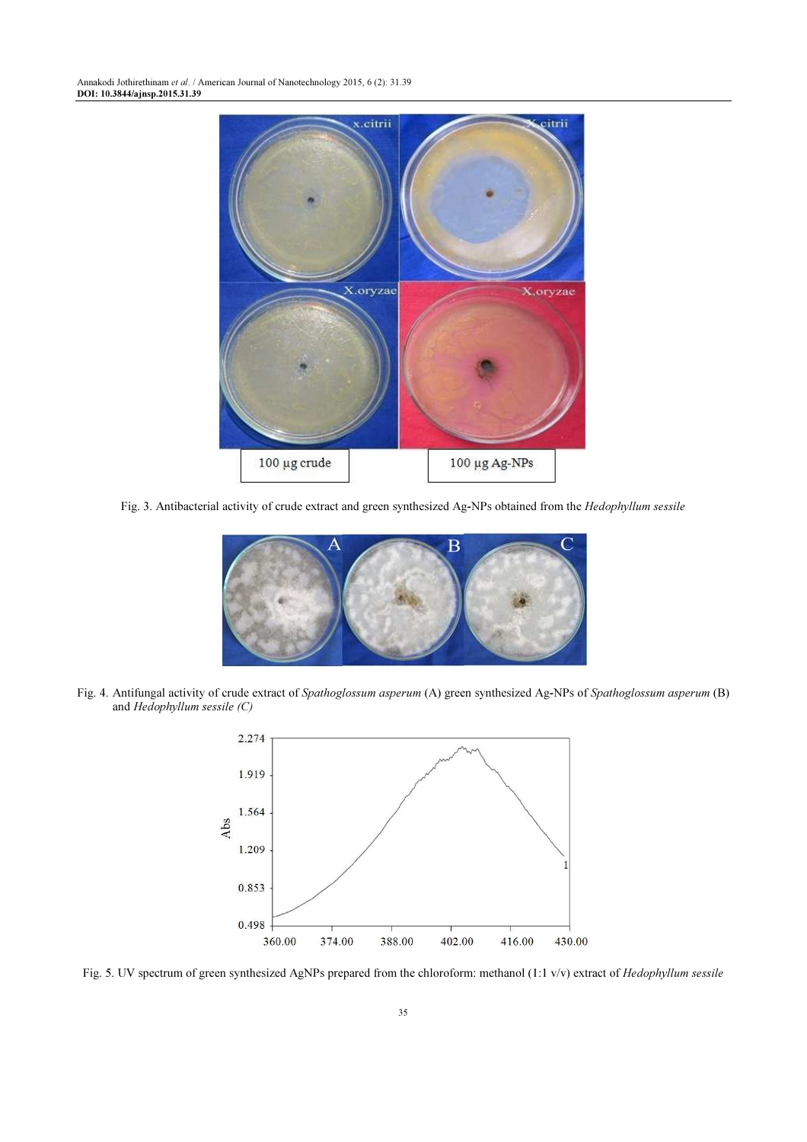Annakodi Jothirethinam et al. / American Journal of Nanotechnology 2015, 6 (2): 31.39 DOI: 10.3844/ajnsp.2015.31.39



Fig. 3. Antibacterial activity of crude extract and green synthesized Ag-NPs obtained from the Hedophyllum sessile



Fig. 4. Antifungal activity of crude extract of Spathoglossum asperum (A) green synthesized Ag-NPs of Spathoglossum asperum (B) and Hedophyllum sessile (C)



Fig. 5. UV spectrum of green synthesized AgNPs prepared from the chloroform: methanol (1:1 v/v) extract of Hedophyllum sessile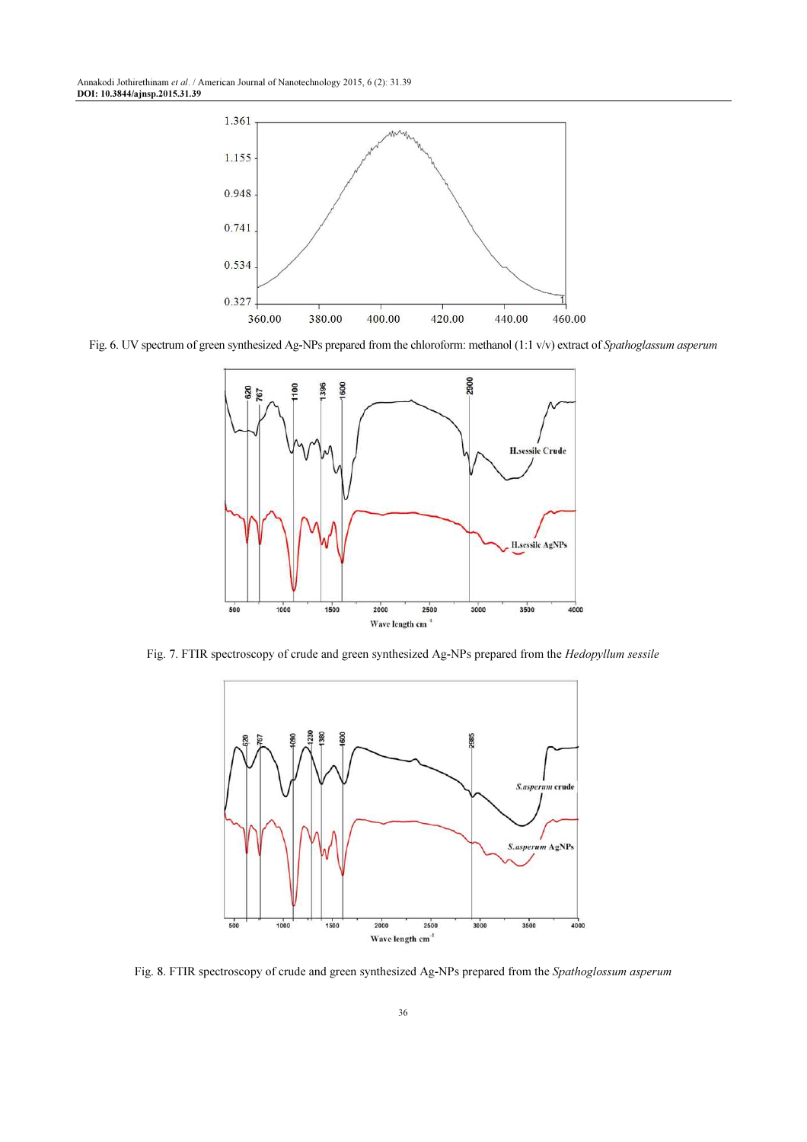Annakodi Jothirethinam et al. / American Journal of Nanotechnology 2015, 6 (2): 31.39 DOI: 10.3844/ajnsp.2015.31.39



Fig. 6. UV spectrum of green synthesized Ag-NPs prepared from the chloroform: methanol (1:1 v/v) extract of Spathoglassum asperum



Fig. 7. FTIR spectroscopy of crude and green synthesized Ag-NPs prepared from the Hedopyllum sessile



Fig. 8. FTIR spectroscopy of crude and green synthesized Ag-NPs prepared from the Spathoglossum asperum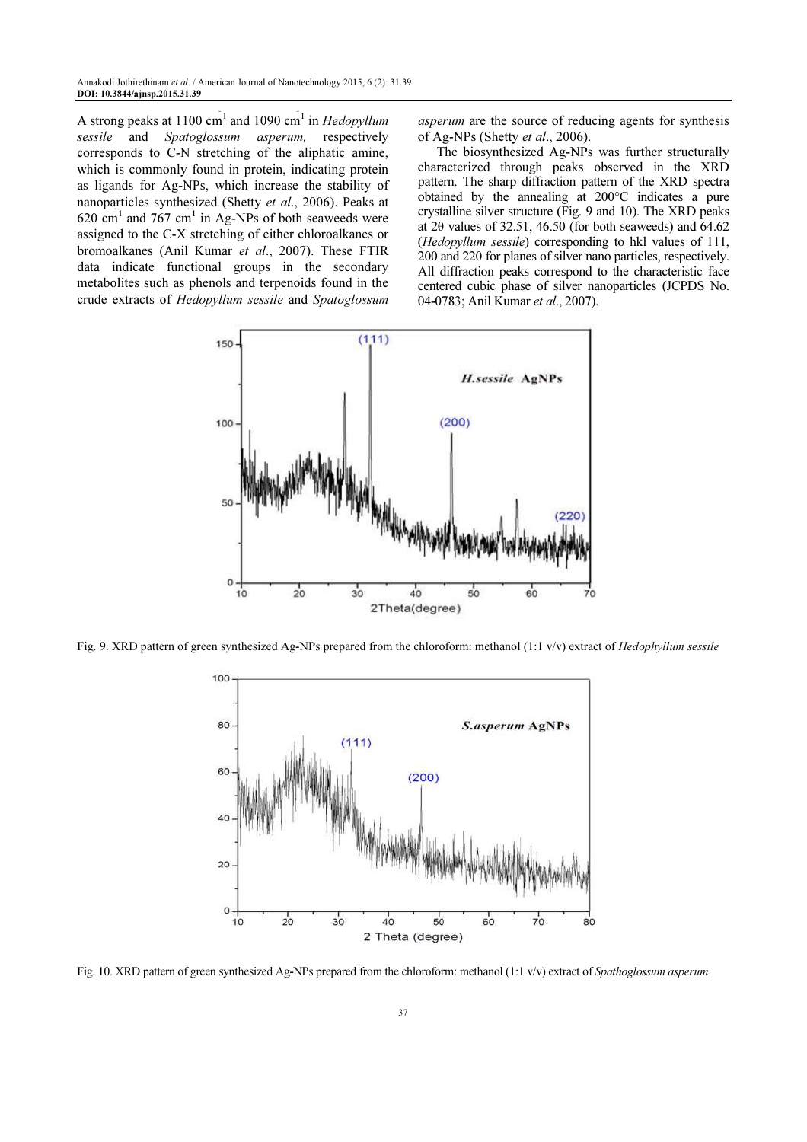A strong peaks at 1100 cm<sup>1</sup> and 1090 cm<sup>1</sup> in *Hedopyllum* sessile and Spatoglossum asperum, respectively corresponds to C-N stretching of the aliphatic amine, which is commonly found in protein, indicating protein as ligands for Ag-NPs, which increase the stability of nanoparticles synthesized (Shetty et al., 2006). Peaks at  $620 \text{ cm}^1$  and  $767 \text{ cm}^1$  in Ag-NPs of both seaweeds were assigned to the C-X stretching of either chloroalkanes or bromoalkanes (Anil Kumar et al., 2007). These FTIR data indicate functional groups in the secondary metabolites such as phenols and terpenoids found in the crude extracts of Hedopyllum sessile and Spatoglossum

asperum are the source of reducing agents for synthesis of Ag-NPs (Shetty et al., 2006).

The biosynthesized Ag-NPs was further structurally characterized through peaks observed in the XRD pattern. The sharp diffraction pattern of the XRD spectra obtained by the annealing at 200°C indicates a pure crystalline silver structure (Fig. 9 and 10). The XRD peaks at 2θ values of 32.51, 46.50 (for both seaweeds) and 64.62 (Hedopyllum sessile) corresponding to hkl values of 111, 200 and 220 for planes of silver nano particles, respectively. All diffraction peaks correspond to the characteristic face centered cubic phase of silver nanoparticles (JCPDS No. 04-0783; Anil Kumar et al., 2007).



Fig. 9. XRD pattern of green synthesized Ag-NPs prepared from the chloroform: methanol (1:1 v/v) extract of Hedophyllum sessile



Fig. 10. XRD pattern of green synthesized Ag-NPs prepared from the chloroform: methanol (1:1 v/v) extract of Spathoglossum asperum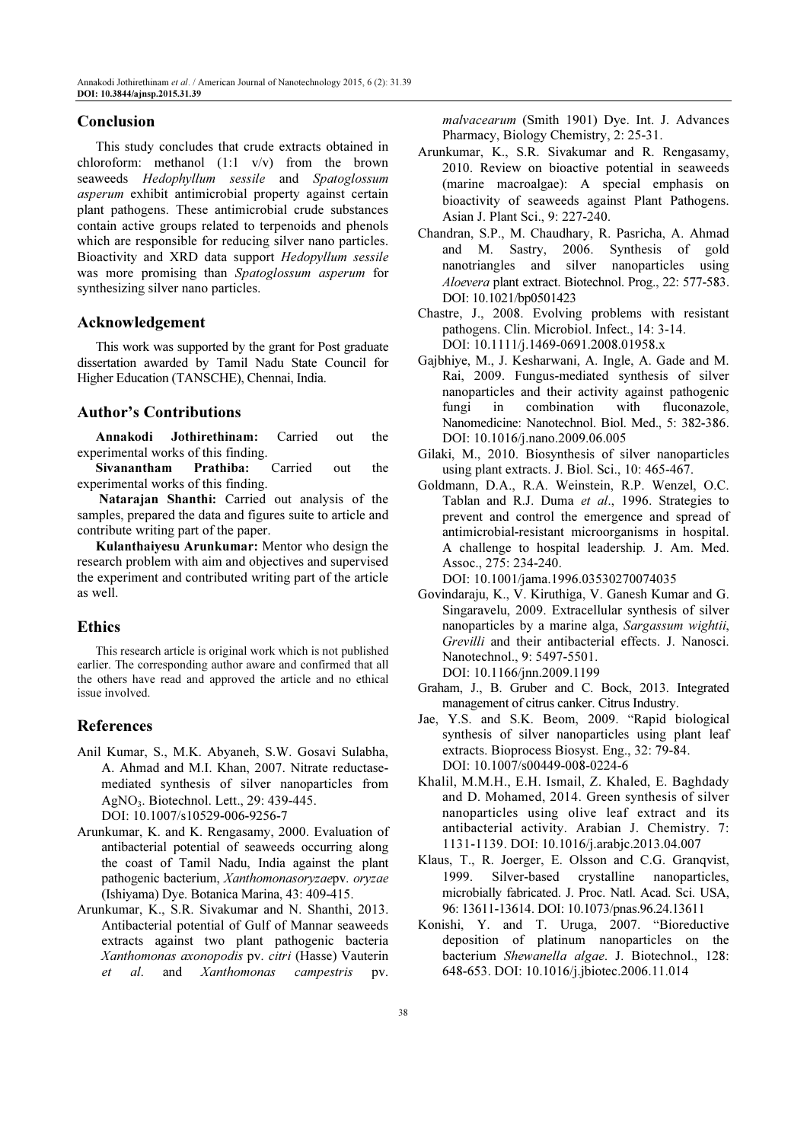#### Conclusion

This study concludes that crude extracts obtained in chloroform: methanol (1:1 v/v) from the brown seaweeds Hedophyllum sessile and Spatoglossum asperum exhibit antimicrobial property against certain plant pathogens. These antimicrobial crude substances contain active groups related to terpenoids and phenols which are responsible for reducing silver nano particles. Bioactivity and XRD data support Hedopyllum sessile was more promising than Spatoglossum asperum for synthesizing silver nano particles.

#### Acknowledgement

This work was supported by the grant for Post graduate dissertation awarded by Tamil Nadu State Council for Higher Education (TANSCHE), Chennai, India.

## Author's Contributions

Annakodi Jothirethinam: Carried out the experimental works of this finding.

Sivanantham Prathiba: Carried out the experimental works of this finding.

 Natarajan Shanthi: Carried out analysis of the samples, prepared the data and figures suite to article and contribute writing part of the paper.

Kulanthaiyesu Arunkumar: Mentor who design the research problem with aim and objectives and supervised the experiment and contributed writing part of the article as well.

## Ethics

This research article is original work which is not published earlier. The corresponding author aware and confirmed that all the others have read and approved the article and no ethical issue involved.

### References

- Anil Kumar, S., M.K. Abyaneh, S.W. Gosavi Sulabha, A. Ahmad and M.I. Khan, 2007. Nitrate reductasemediated synthesis of silver nanoparticles from AgNO3. Biotechnol. Lett., 29: 439-445. DOI: 10.1007/s10529-006-9256-7
- Arunkumar, K. and K. Rengasamy, 2000. Evaluation of antibacterial potential of seaweeds occurring along the coast of Tamil Nadu, India against the plant pathogenic bacterium, Xanthomonasoryzaepv. oryzae (Ishiyama) Dye. Botanica Marina, 43: 409-415.
- Arunkumar, K., S.R. Sivakumar and N. Shanthi, 2013. Antibacterial potential of Gulf of Mannar seaweeds extracts against two plant pathogenic bacteria Xanthomonas axonopodis pv. citri (Hasse) Vauterin et al. and Xanthomonas campestris pv.

malvacearum (Smith 1901) Dye. Int. J. Advances Pharmacy, Biology Chemistry, 2: 25-31.

- Arunkumar, K., S.R. Sivakumar and R. Rengasamy, 2010. Review on bioactive potential in seaweeds (marine macroalgae): A special emphasis on bioactivity of seaweeds against Plant Pathogens. Asian J. Plant Sci., 9: 227-240.
- Chandran, S.P., M. Chaudhary, R. Pasricha, A. Ahmad and M. Sastry, 2006. Synthesis of gold nanotriangles and silver nanoparticles using Aloevera plant extract. Biotechnol. Prog., 22: 577-583. DOI: 10.1021/bp0501423
- Chastre, J., 2008. Evolving problems with resistant pathogens. Clin. Microbiol. Infect., 14: 3-14. DOI: 10.1111/j.1469-0691.2008.01958.x
- Gajbhiye, M., J. Kesharwani, A. Ingle, A. Gade and M. Rai, 2009. Fungus-mediated synthesis of silver nanoparticles and their activity against pathogenic fungi in combination with fluconazole, Nanomedicine: Nanotechnol. Biol. Med., 5: 382-386. DOI: 10.1016/j.nano.2009.06.005
- Gilaki, M., 2010. Biosynthesis of silver nanoparticles using plant extracts. J. Biol. Sci., 10: 465-467.
- Goldmann, D.A., R.A. Weinstein, R.P. Wenzel, O.C. Tablan and R.J. Duma et al., 1996. Strategies to prevent and control the emergence and spread of antimicrobial-resistant microorganisms in hospital. A challenge to hospital leadership. J. Am. Med. Assoc., 275: 234-240.

DOI: 10.1001/jama.1996.03530270074035

- Govindaraju, K., V. Kiruthiga, V. Ganesh Kumar and G. Singaravelu, 2009. Extracellular synthesis of silver nanoparticles by a marine alga, Sargassum wightii, Grevilli and their antibacterial effects. J. Nanosci. Nanotechnol., 9: 5497-5501. DOI: 10.1166/jnn.2009.1199
- Graham, J., B. Gruber and C. Bock, 2013. Integrated management of citrus canker. Citrus Industry.
- Jae, Y.S. and S.K. Beom, 2009. "Rapid biological synthesis of silver nanoparticles using plant leaf extracts. Bioprocess Biosyst. Eng., 32: 79-84. DOI: 10.1007/s00449-008-0224-6
- Khalil, M.M.H., E.H. Ismail, Z. Khaled, E. Baghdady and D. Mohamed, 2014. Green synthesis of silver nanoparticles using olive leaf extract and its antibacterial activity. Arabian J. Chemistry. 7: 1131-1139. DOI: 10.1016/j.arabjc.2013.04.007
- Klaus, T., R. Joerger, E. Olsson and C.G. Granqvist, 1999. Silver-based crystalline nanoparticles, microbially fabricated. J. Proc. Natl. Acad. Sci. USA, 96: 13611-13614. DOI: 10.1073/pnas.96.24.13611
- Konishi, Y. and T. Uruga, 2007. "Bioreductive deposition of platinum nanoparticles on the bacterium Shewanella algae. J. Biotechnol., 128: 648-653. DOI: 10.1016/j.jbiotec.2006.11.014